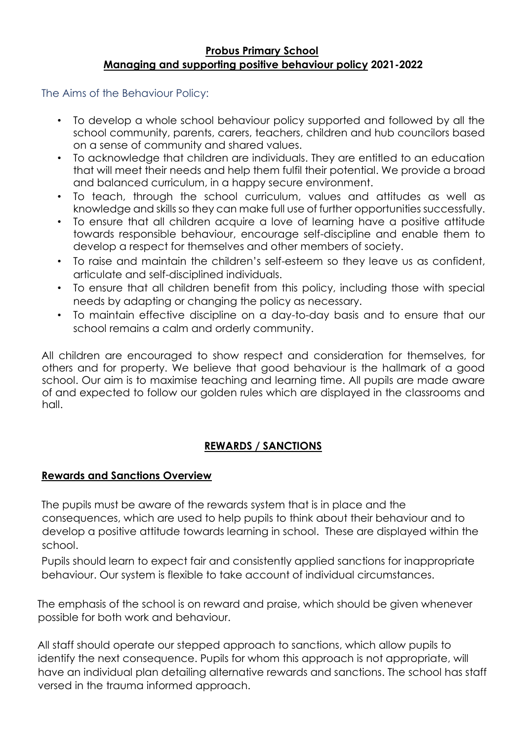### **Probus Primary School Managing and supporting positive behaviour policy 2021-2022**

The Aims of the Behaviour Policy:

- To develop a whole school behaviour policy supported and followed by all the school community, parents, carers, teachers, children and hub councilors based on a sense of community and shared values.
- To acknowledge that children are individuals. They are entitled to an education that will meet their needs and help them fulfil their potential. We provide a broad and balanced curriculum, in a happy secure environment.
- To teach, through the school curriculum, values and attitudes as well as knowledge and skills so they can make full use of further opportunities successfully.
- To ensure that all children acquire a love of learning have a positive attitude towards responsible behaviour, encourage self-discipline and enable them to develop a respect for themselves and other members of society.
- To raise and maintain the children's self-esteem so they leave us as confident, articulate and self-disciplined individuals.
- To ensure that all children benefit from this policy, including those with special needs by adapting or changing the policy as necessary.
- To maintain effective discipline on a day-to-day basis and to ensure that our school remains a calm and orderly community.

All children are encouraged to show respect and consideration for themselves, for others and for property. We believe that good behaviour is the hallmark of a good school. Our aim is to maximise teaching and learning time. All pupils are made aware of and expected to follow our golden rules which are displayed in the classrooms and hall.

# **REWARDS / SANCTIONS**

### **Rewards and Sanctions Overview**

The pupils must be aware of the rewards system that is in place and the consequences, which are used to help pupils to think about their behaviour and to develop a positive attitude towards learning in school. These are displayed within the school.

Pupils should learn to expect fair and consistently applied sanctions for inappropriate behaviour. Our system is flexible to take account of individual circumstances.

The emphasis of the school is on reward and praise, which should be given whenever possible for both work and behaviour.

All staff should operate our stepped approach to sanctions, which allow pupils to identify the next consequence. Pupils for whom this approach is not appropriate, will have an individual plan detailing alternative rewards and sanctions. The school has staff versed in the trauma informed approach.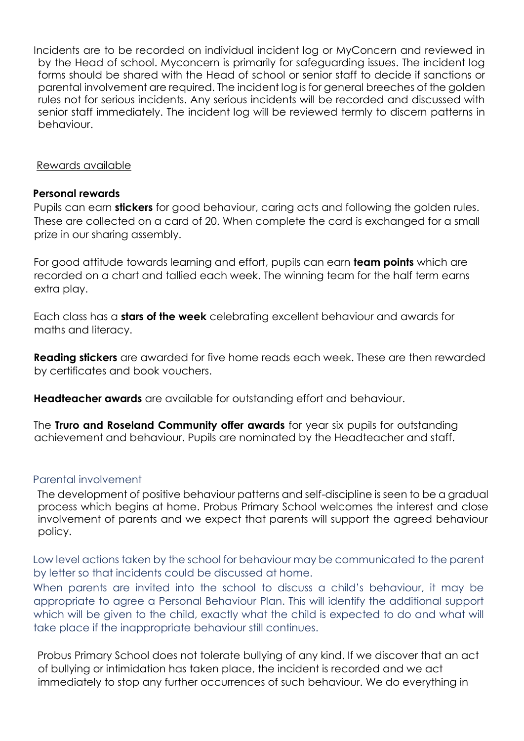Incidents are to be recorded on individual incident log or MyConcern and reviewed in by the Head of school. Myconcern is primarily for safeguarding issues. The incident log forms should be shared with the Head of school or senior staff to decide if sanctions or parental involvement are required. The incident log is for general breeches of the golden rules not for serious incidents. Any serious incidents will be recorded and discussed with senior staff immediately. The incident log will be reviewed termly to discern patterns in behaviour.

#### Rewards available

#### **Personal rewards**

Pupils can earn **stickers** for good behaviour, caring acts and following the golden rules. These are collected on a card of 20. When complete the card is exchanged for a small prize in our sharing assembly.

For good attitude towards learning and effort, pupils can earn **team points** which are recorded on a chart and tallied each week. The winning team for the half term earns extra play.

Each class has a **stars of the week** celebrating excellent behaviour and awards for maths and literacy.

**Reading stickers** are awarded for five home reads each week. These are then rewarded by certificates and book vouchers.

**Headteacher awards** are available for outstanding effort and behaviour.

The **Truro and Roseland Community offer awards** for year six pupils for outstanding achievement and behaviour. Pupils are nominated by the Headteacher and staff.

#### Parental involvement

The development of positive behaviour patterns and self-discipline is seen to be a gradual process which begins at home. Probus Primary School welcomes the interest and close involvement of parents and we expect that parents will support the agreed behaviour policy.

Low level actions taken by the school for behaviour may be communicated to the parent by letter so that incidents could be discussed at home.

When parents are invited into the school to discuss a child's behaviour, it may be appropriate to agree a Personal Behaviour Plan. This will identify the additional support which will be given to the child, exactly what the child is expected to do and what will take place if the inappropriate behaviour still continues.

Probus Primary School does not tolerate bullying of any kind. If we discover that an act of bullying or intimidation has taken place, the incident is recorded and we act immediately to stop any further occurrences of such behaviour. We do everything in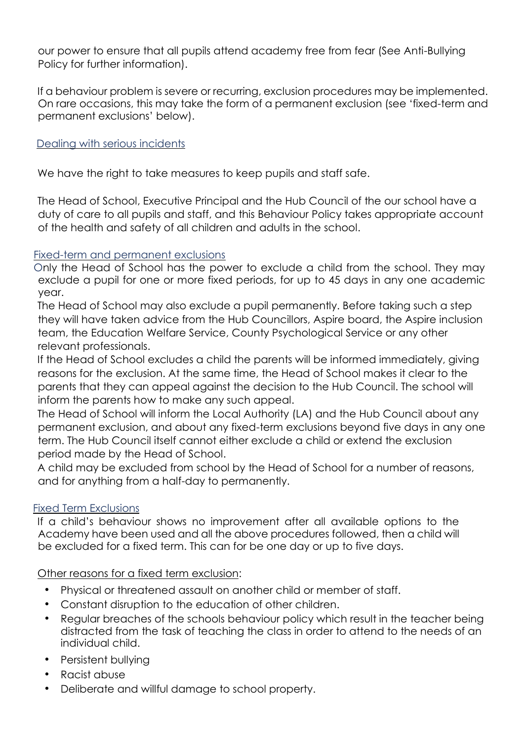our power to ensure that all pupils attend academy free from fear (See Anti-Bullying Policy for further information).

If a behaviour problem is severe or recurring, exclusion procedures may be implemented. On rare occasions, this may take the form of a permanent exclusion (see 'fixed-term and permanent exclusions' below).

### Dealing with serious incidents

We have the right to take measures to keep pupils and staff safe.

The Head of School, Executive Principal and the Hub Council of the our school have a duty of care to all pupils and staff, and this Behaviour Policy takes appropriate account of the health and safety of all children and adults in the school.

### Fixed-term and permanent exclusions

Only the Head of School has the power to exclude a child from the school. They may exclude a pupil for one or more fixed periods, for up to 45 days in any one academic year.

The Head of School may also exclude a pupil permanently. Before taking such a step they will have taken advice from the Hub Councillors, Aspire board, the Aspire inclusion team, the Education Welfare Service, County Psychological Service or any other relevant professionals.

If the Head of School excludes a child the parents will be informed immediately, giving reasons for the exclusion. At the same time, the Head of School makes it clear to the parents that they can appeal against the decision to the Hub Council. The school will inform the parents how to make any such appeal.

The Head of School will inform the Local Authority (LA) and the Hub Council about any permanent exclusion, and about any fixed-term exclusions beyond five days in any one term. The Hub Council itself cannot either exclude a child or extend the exclusion period made by the Head of School.

A child may be excluded from school by the Head of School for a number of reasons, and for anything from a half-day to permanently.

### Fixed Term Exclusions

If a child's behaviour shows no improvement after all available options to the Academy have been used and all the above procedures followed, then a child will be excluded for a fixed term. This can for be one day or up to five days.

### Other reasons for a fixed term exclusion:

- Physical or threatened assault on another child or member of staff.
- Constant disruption to the education of other children.
- Regular breaches of the schools behaviour policy which result in the teacher being distracted from the task of teaching the class in order to attend to the needs of an individual child.
- Persistent bullying
- Racist abuse
- Deliberate and willful damage to school property.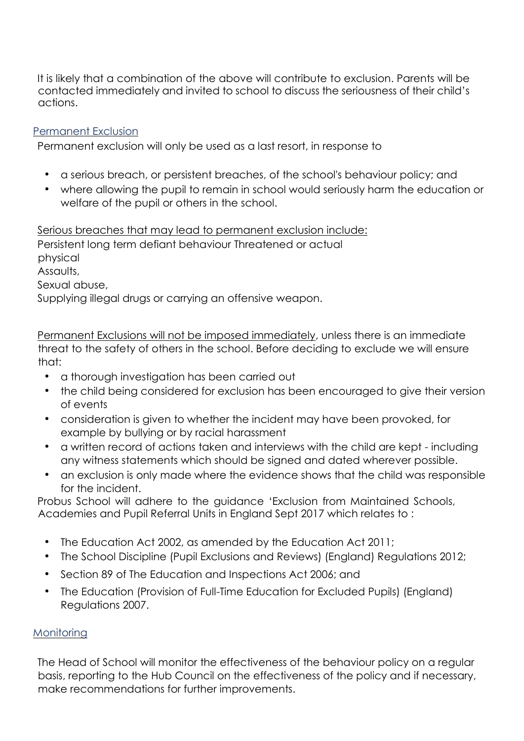It is likely that a combination of the above will contribute to exclusion. Parents will be contacted immediately and invited to school to discuss the seriousness of their child's actions.

### Permanent Exclusion

Permanent exclusion will only be used as a last resort, in response to

- a serious breach, or persistent breaches, of the school's behaviour policy; and
- where allowing the pupil to remain in school would seriously harm the education or welfare of the pupil or others in the school.

Serious breaches that may lead to permanent exclusion include: Persistent long term defiant behaviour Threatened or actual physical Assaults, Sexual abuse, Supplying illegal drugs or carrying an offensive weapon.

Permanent Exclusions will not be imposed immediately, unless there is an immediate threat to the safety of others in the school. Before deciding to exclude we will ensure that:

- a thorough investigation has been carried out
- the child being considered for exclusion has been encouraged to give their version of events
- consideration is given to whether the incident may have been provoked, for example by bullying or by racial harassment
- a written record of actions taken and interviews with the child are kept including any witness statements which should be signed and dated wherever possible.
- an exclusion is only made where the evidence shows that the child was responsible for the incident.

Probus School will adhere to the guidance 'Exclusion from Maintained Schools, Academies and Pupil Referral Units in England Sept 2017 which relates to :

- The Education Act 2002, as amended by the Education Act 2011;
- The School Discipline (Pupil Exclusions and Reviews) (England) Regulations 2012;
- Section 89 of The Education and Inspections Act 2006; and
- The Education (Provision of Full-Time Education for Excluded Pupils) (England) Regulations 2007.

### **Monitoring**

The Head of School will monitor the effectiveness of the behaviour policy on a regular basis, reporting to the Hub Council on the effectiveness of the policy and if necessary, make recommendations for further improvements.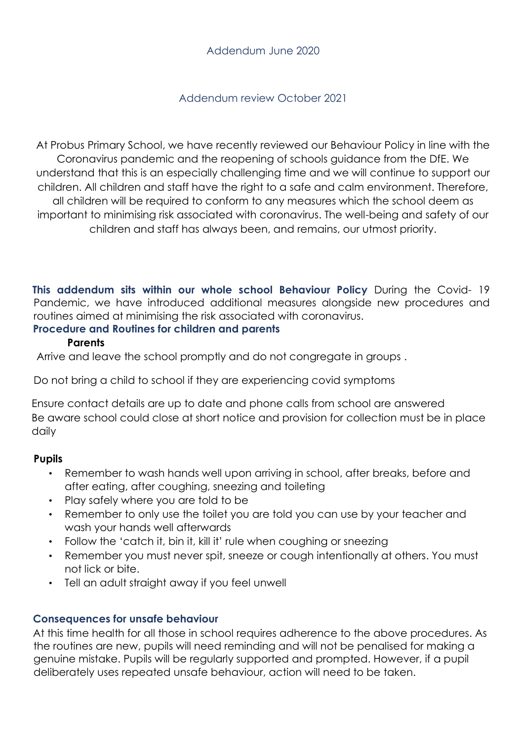### Addendum review October 2021

At Probus Primary School, we have recently reviewed our Behaviour Policy in line with the Coronavirus pandemic and the reopening of schools guidance from the DfE. We understand that this is an especially challenging time and we will continue to support our children. All children and staff have the right to a safe and calm environment. Therefore, all children will be required to conform to any measures which the school deem as important to minimising risk associated with coronavirus. The well-being and safety of our children and staff has always been, and remains, our utmost priority.

**This addendum sits within our whole school Behaviour Policy** During the Covid- 19 Pandemic, we have introduced additional measures alongside new procedures and routines aimed at minimising the risk associated with coronavirus.

### **Procedure and Routines for children and parents**

### **Parents**

Arrive and leave the school promptly and do not congregate in groups .

Do not bring a child to school if they are experiencing covid symptoms

Ensure contact details are up to date and phone calls from school are answered Be aware school could close at short notice and provision for collection must be in place daily

# **Pupils**

- Remember to wash hands well upon arriving in school, after breaks, before and after eating, after coughing, sneezing and toileting
- Play safely where you are told to be
- Remember to only use the toilet you are told you can use by your teacher and wash your hands well afterwards
- Follow the 'catch it, bin it, kill it' rule when coughing or sneezing
- Remember you must never spit, sneeze or cough intentionally at others. You must not lick or bite.
- Tell an adult straight away if you feel unwell

# **Consequences for unsafe behaviour**

At this time health for all those in school requires adherence to the above procedures. As the routines are new, pupils will need reminding and will not be penalised for making a genuine mistake. Pupils will be regularly supported and prompted. However, if a pupil deliberately uses repeated unsafe behaviour, action will need to be taken.